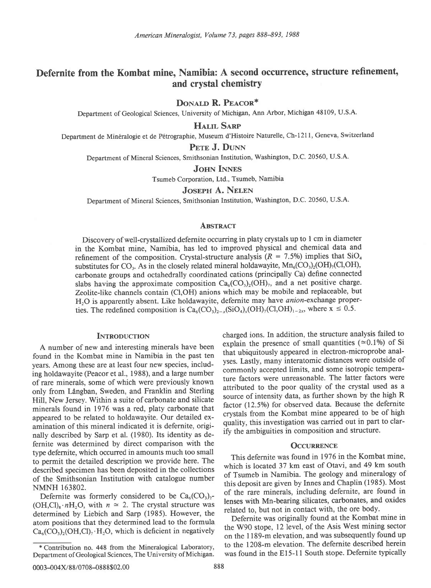# Defernite from the Kombat mine, Namibia: A second occurrence, structure refinement, and crystal chemistry

DONALD R. PEACOR\*

Department of Geological Sciences, University of Michigan, Ann Arbor, Michigan 48109, U.S.A.

**HALIL SARP** 

Department de Min6ralogie et de P6trographie, Museum d'Histoire Naturelle, Ch-l21 I, Geneva, Switzerland

## PETE J. DUNN

Department of Mineral Sciences, Smithsonian Institution, Washington, D.C. 20560, U.S.A.

**JOHN INNES** 

Tsumeb Corporation, Ltd., Tsumeb, Namibia

## **JOSEPH A. NELEN**

Department of Mineral Sciences, Smithsonian Institution, Washington, D.C. 20560, U.S.A.

### **ABSTRACT**

Discovery of well-crystallized defernite occurring in platy crystals up to I cm in diameter in the Kombat mine, Namibia, has led to improved physical and chemical data and refinement of the composition. Crystal-structure analysis ( $R = 7.5\%$ ) implies that SiO<sub>4</sub> substitutes for CO<sub>3</sub>. As in the closely related mineral holdawayite,  $Mn_6(CO_3)_2(OH)_{7}(Cl,OH)$ , carbonate goups and octahedrally coordinated cations (principally Ca) define connected slabs having the approximate composition  $Ca_6(CO_1)_2(OH)_7$ , and a net positive charge. Zeolite-like channels contain (Cl,OH) anions which may be mobile and replaceable, but  $H<sub>2</sub>O$  is apparently absent. Like holdawayite, defernite may have *anion*-exchange properties. The redefined composition is  $Ca_6(CO_3)_{2-x}(SIO_4)_x(OH)_7(CI_3OH)_{1-2x}$ , where  $x \le 0.5$ .

# **INTRODUCTION**

A number of new and interesting minerals have been found in the Kombat mine in Namibia in the past ten years. Among these are at least four new species, including holdawayite (Peacor et al., 1988), and a large number of rare minerals, some of which were previously known only from Lingban, Sweden, and Franklin and Sterling Hill, New Jersey. Within a suite of carbonate and silicate minerals found in 1976 was a red, platy carbonate that appeared to be related to holdawayite. Our detailed examination of this mineral indicated it is defernite, originally described by Sarp et al. (1980). Its identity as defernite was determined by direct comparison with the type defernite, which occurred in amounts much too small to permit the detailed description we provide here. The described specimen has been deposited in the collections of the Smithsonian Institution with catalogue number NMNH 163802.

Defernite was formerly considered to be  $Ca_6(CO_3)_2$ - $(OH, Cl)<sub>8</sub>·nH<sub>2</sub>O$ , with  $n \approx 2$ . The crystal structure was determined by Liebich and Sarp (1985). However, the atom positions that they determined lead to the formula  $Ca<sub>6</sub>(CO<sub>3</sub>)(OH,Cl)<sub>7</sub>·H<sub>2</sub>O$ , which is deficient in negatively charged ions. In addition, the structure analysis failed to explain the presence of small quantities ( $\approx$ 0.1%) of Si that ubiquitously appeared in electron-microprobe analyses. Lastly, many interatomic distances were outside of commonly accepted limits, and some isotropic temperature factors were unreasonable. The latter factors were attributed to the poor quality of the crystal used as a source of intensity data, as further shown by the high R factor (12.5%) for observed data. Because the defernite crystals from the Kombat mine appeared to be of high quality, this investigation was carried out in part to clarify the ambiguities in composition and structure.

# **OCCURRENCE**

This defernite was found in 1976 in the Kombat mine, which is located 37 km east of Otavi, and 49 km south of Tsumeb in Namibia. The geology and mineralogy of this deposit are given by Innes and Chaplin (1985). Most of the rare minerals, including defernite, are found in lenses with Mn-bearing silicates, carbonates, and oxides related to, but not in contact with, the ore body.

Defernite was originally found at the Kombat mine in the W90 stope, 12 level, of the Asis West mining sector on the I 189-m elevation, and was subsequently found up to the 1208-m elevation. The defernite described herein was found in the E15-11 South stope. Defernite typically

<sup>\*</sup> Contribution no. 448 from the Mineralogical Laboratory, Department of Geological Sciences, The University of Michigan.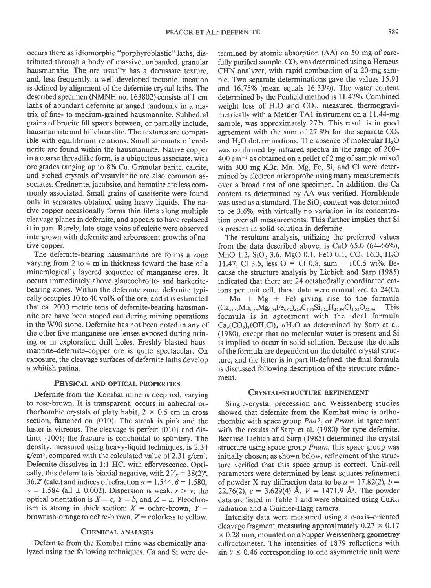occurs there as idiomorphic "porphyroblastic" laths, distributed through a body of massive, unbanded, granular hausmannite. The ore usually has a decussate texture, and, less frequently, a well-developed tectonic lineation is defined by alignment of the defernite crystal laths. The described specimen (NMNH no. 163802) consists of l-cm laths of abundant defernite arranged randomly in a matrix of fine- to medium-grained hausmannite. Subhedral grains of brucite fill spaces between, or partially include, hausmannite and hillebrandite. The textures are compatible with equilibrium relations. Small amounts of crednerite are found within the hausmannite. Native copper in a coarse threadlike form, is a ubiquitous associate, with ore grades ranging up to 8% Cu. Granular barite, calcite, and etched crystals of vesuvianite are also common associates. Crednerite, jacobsite, and hematite are less commonly associated. Small grains of cassiterite were found only in separates obtained using heavy liquids. The native copper occasionally forms thin films along multiple cleavage planes in defernite, and appears to have replaced it in part. Rarely, late-stage veins of calcite were observed intergrown with defernite and arborescent growths of native copper.

The defernite-bearing hausmannite ore forms a zone varying from 2 to 4 m in thickness toward the base of a mineralogically layered sequence of manganese ores. It occurs immediately above glaucochroite- and harkeritebearing zones. Within the defernite zone, defernite typically occupies 10 to 40 vol% of the ore, and it is estimated that ca. 2000 metric tons of defernite-bearing hausmannite ore have been stoped out during mining operations in the W90 stope. Defernite has not been noted in any of the other five manganese ore lenses exposed during mining or in exploration drill holes. Freshly blasted hausmannite-defernite-copper ore is quite spectacular. On exposure, the cleavage surfaces of defernite laths develop a whitish patina.

# PHYSICAL AND OPTICAL PROPERTIES

Defernite from the Kombat mine is deep red, varying to rose-brown. It is transparent, occurs in anhedral orthorhombic crystals of platy habit,  $2 \times 0.5$  cm in cross section, flattened on {010}. The streak is pink and the luster is vitreous. The cleavage is perfect {010} and distinct {100}; the fracture is conchoidal to splintery. The density, measured using heavy-liquid techniques, is 2.34  $g/cm<sup>3</sup>$ , compared with the calculated value of 2.31 g/cm<sup>3</sup>. Defernite dissolves in l:l HCI with effervescence. Optically, this defernite is biaxial negative, with  $2V_x = 38(2)$ °, 36.2° (calc.) and indices of refraction  $\alpha = 1.544$ ,  $\beta = 1.580$ ,  $\gamma$  = 1.584 (all  $\pm$  0.002). Dispersion is weak,  $r > v$ ; the optical orientation is  $X = c$ ,  $Y = b$ , and  $Z = a$ . Pleochroism is strong in thick section:  $X =$  ochre-brown,  $Y =$ brownish-orange to ochre-brown,  $Z =$  colorless to yellow.

## CHEMICAL ANALYSIS

Defernite from the Kombat mine was chemically analyzed using the following techniques. Ca and Si were de-

termined by atomic absorption (AA) on 50 mg of carefully purified sample.  $CO<sub>2</sub>$  was determined using a Heraeus CHN analyzer, with rapid combustion of a 20-mg sample. Two separate determinations gave the values 15.91 and  $16.75\%$  (mean equals  $16.33\%$ ). The water content determined by the Penfield method is 11.47%. Combined weight loss of  $H<sub>2</sub>O$  and  $CO<sub>2</sub>$ , measured thermogravimetrically with a Mettler TAI instrument on a 11.44-mg sample, was approximately 27%. This result is in good agreement with the sum of 27.8% for the separate  $CO<sub>2</sub>$ and  $H<sub>2</sub>O$  determinations. The absence of molecular  $H<sub>2</sub>O$ was confirmed by infrared spectra in the range of 200-  $400 \text{ cm}^{-1}$  as obtained on a pellet of 2 mg of sample mixed with 300 mg KBr. Mn, Mg, Fe, Si, and Cl were determined by electron microprobe using many measurements over a broad area of one specimen. In addition, the Ca content as determined by AA was verified. Hornblende was used as a standard. The SiO, content was determined to be 3.6%, with virtually no variation in its concentration over all measurements. This further implies that Si is present in solid solution in defernite.

The resultant analysis, utilizing the preferred values from the data described above, is CaO  $65.0$   $(64-66%)$ , MnO 1.2, SiO<sub>2</sub> 3.6, MgO 0.1, FeO 0.1, CO<sub>2</sub> 16.3, H<sub>2</sub>O 11.47, Cl 3.5, less  $O = Cl$  0.8, sum = 100.5 wt%. Because the structure analysis by Liebich and Sarp (1985) indicated that there are 24 octahedrally coordinated cations per unit cell, these data were normalized to 24(Ca  $+$  Mn  $+$  Mg  $+$  Fe) giving rise to the formula  $(Ca_{23.59}Mn_{0.35}Mg_{0.04}Fe_{0.02})_{224}C_{7,53}Si_{1.22}H_{25.94}Cl_{2.02}O_{53.46}$ . This formula is in agreement with the ideal formula  $Ca<sub>6</sub>(CO<sub>3</sub>)(OH,Cl)<sub>8</sub>·nH<sub>2</sub>O$  as determined by Sarp et al. (1980), except that no molecular water is present and Si is implied to occur in solid solution. Because the details of the formula are dependent on the detailed crystal structure, and the latter is in part ill-defined, the final formula is discussed following description of the structure refinement.

## CRYSTAL-STRUCTURE REFINEMENT

Single-crystal precession and Weissenberg studies showed that defernite from the Kombat mine is orthorhombic with space group Pna2, or Pnam, in agreement with the results of Sarp et al. (1980) for type defernite. Because Liebich and Sarp (1985) determined the crystal structure using space group Pnam, this space group was initially chosen; as shown below, refinement of the structure verified that this space group is correct. Unit-cell parameters were determined by least-squares refinement of powder X-ray diffraction data to be  $a = 17.82(2)$ ,  $b =$ 22.76(2),  $c = 3.629(4)$  Å,  $V = 1471.9$  Å<sup>3</sup>. The powder data are listed in Table 1 and were obtained using  $CuK\alpha$ radiation and a Guinier-Hagg camera.

Intensity data were measured using a  $c$ -axis-oriented cleavage fragment measuring approximately  $0.27 \times 0.17$ x 0.28 mm, mounted on a Supper Weissenberg-geometrey diffractometer. The intensities of 1879 reflections with  $\sin \theta \le 0.46$  corresponding to one asymmetric unit were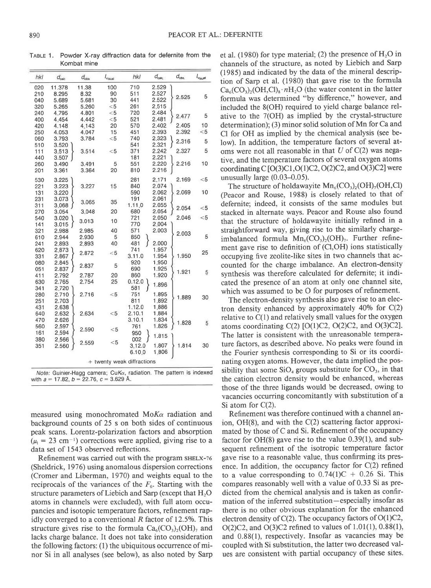TABLE 1. Powder X-ray diffraction data for defernite from the Kombat mine

| hkl                        | $d_{\text{calc}}$ | $d_{\rm obs}$ | $I_{\rm virial}$ | hkl    | $d_{\rm calc}$ | $d_{\rm obs}$ | $I_{\rm virial}$ |
|----------------------------|-------------------|---------------|------------------|--------|----------------|---------------|------------------|
| 020                        | 11.378            | 11.38         | 100              | 710    | 2.529          |               |                  |
| 210                        | 8.295             | 8.32          | 90               | 511    | 2.527          |               | 5                |
| 040                        | 5.689             | 5.681         | 30               | 441    | 2.522          | 2.525         |                  |
| 320                        | 5.265             | 5.260         | $<$ 5            | 261    | 2.515          |               |                  |
| 240                        | 4.795             | 4.801         | $<$ 5            | 720    | 2.484          |               |                  |
| 400                        | 4.454             | 4.442         | $<$ 5            | 521    | 2.481          | 2.477         | 5                |
| 420                        | 4.148             | 4.143         | 20               | 570    | 2.402          | 2.405         | 10               |
| 250                        | 4.053             | 4.047         | 15               | 451    | 2.393          | 2.392         | $<$ 5            |
| 060                        | 3.793             | 3.784         | $<$ 5            | 740    | 2.323          |               |                  |
| 510                        | 3.520             |               |                  | 541    | 2.321          | 2.316         | 5                |
| 111                        | 3.513             | 3.514         | $<$ 5            | 371    | 2.242          | 2.327         | 5                |
| 440                        | 3.507             |               |                  | 181    | 2.221          |               |                  |
| 260                        | 3.490             | 3.491         | 5                | 551    | 2.220          | 2.216         | 10               |
| 201                        | 3.361             | 3.364         | 20               | 810    | 2.216          |               |                  |
|                            |                   |               |                  |        |                |               |                  |
| 530                        | 3.225             |               |                  | 281    | 2.171          | 2.169         | $<$ 5            |
| 221                        | 3.223             | 3.227         | 15               | 840    | 2.074          |               |                  |
| 131                        | 3.220             |               |                  | 590    | 2.062          | 2.069         | 10               |
| 231                        | 3.073             | 3.065         | 35               | 191    | 2.061          |               |                  |
| 311                        | 3.068             |               |                  | 1.11.0 | 2.055          | 2.054         | $<$ 5            |
| 270                        | 3.054             | 3.048         | 20               | 680    | 2.054          |               |                  |
| 540                        | 3.020             | 3.013         | 10               | 721    | 2.050          | 2.046         | $<$ 5            |
| 141                        | 3.015             |               |                  | 770    | 2.004          |               |                  |
| 321                        | 2.988             | 2.985         | 40               | 571    | 2.003          | 2.003         |                  |
| 610                        | 2.944             | 2.930         | 5                | 850    |                |               | 5                |
| 241                        | 2.893             | 2,893         | 40               | 481    | 2.000          |               |                  |
| 620                        | 2.873             | 2.872         | $<$ 5            | 741    | 1.957          |               | 25               |
| 331                        | 2.867             |               |                  | 3.11.0 | 1.954          | 1.950         |                  |
| 080                        | 2.845             | 2.837         | 5                | 920    | 1.950          |               |                  |
| 051                        | 2.837             |               |                  | 690    | 1.925          | 1.921         | 5                |
| 411                        | 2.792             | 2.787         | 20               | 860    | 1.920          |               |                  |
| 630                        | 2.765             | 2.754         | 25               | 0.12.0 | 1.896          |               |                  |
| 341                        | 2.720             |               |                  | 581    |                |               |                  |
| 280                        | 2.710             | 2.716         | $<$ 5            | 751    | 1.895          | 1.889         | 30               |
| 251                        | 2.703             |               |                  | 811    | 1.892          |               |                  |
| 431                        | 2.638             |               |                  | 1.12.0 | 1,886          |               |                  |
| 640                        | 2.632             | 2.634         | $<$ 5            | 2.10.1 | 1.884          |               |                  |
| 470                        | 2.626             |               |                  | 3.10.1 | 1.834          | 1.828         | 5                |
| 560                        | 2.597             |               |                  | 761    | 1.826          |               |                  |
| 161                        | 2.594             | 2.590         | $<$ 5            | 950    |                |               |                  |
| 380                        | 2.566             |               |                  | 002    | 1.815          |               |                  |
| 351                        | 2.560             | 2.559         | $<$ 5            | 3.12.0 | 1.807          | 1.814         | 30               |
|                            |                   |               |                  | 6.10.0 | 1.806          |               |                  |
|                            |                   |               |                  |        |                |               |                  |
| + twenty weak diffractions |                   |               |                  |        |                |               |                  |
|                            |                   |               |                  |        |                |               |                  |

Note: Guinier-Hagg camera; CuK $\alpha$ , radiation. The pattern is indexed with  $a = 17.82$ ,  $b = 22.76$ ,  $c = 3.629$  Å.

measured using monochromated Mo $K\alpha$  radiation and background counts of 25 s on both sides of continuous peak scans. Lorentz-polarization factors and absorption  $(\mu_1 = 23 \text{ cm}^{-1})$  corrections were applied, giving rise to a data set of 1543 observed reflections.

Refinement was carried out with the program sHELX-76 (Sheldrick, 1976) using anomalous dispersion corrections (Cromer and Liberman, 1970) and weights equal to the reciprocals of the variances of the  $F<sub>0</sub>$ . Starting with the structure parameters of Liebich and Sarp (except that  $H_2O$ atoms in channels were excluded), with full atom occupancies and isotopic temperature factors, refinement rapidly converged to a conventional R factor of 12.5%. This structure gives rise to the formula  $Ca<sub>6</sub>(CO<sub>3</sub>)<sub>2</sub>(OH)$ , and lacks charge balance. It does not take into consideration the following factors: (l) the ubiquitous occurrence of minor Si in all analyses (see below), as also noted by Sarp et al. (1980) for type material; (2) the presence of  $H_2O$  in channels of the structure, as noted by Liebich and Sarp (1985) and indicated by the data of the mineral description of Sarp et al. (1980) that gave rise to the formula  $Ca_6(CO_3)_2(OH, Cl)_8 \cdot nH_2O$  (the water content in the latter formula was determined "by difference," however, and included the 8(OH) required to yield charge balance relative to the 7(OH) as implied by the crystal-structure determination); (3) minor solid solution of Mn for Ca and Cl for OH as implied by the chemical analysis (see below). In addition, the temperature factors of several atoms were not all reasonable in that  $U$  of  $C(2)$  was negative, and the temperature factors of several oxygen atoms coordinating  $C$  [O(3)C1,O(1)C2, O(2)C2, and O(3)C2] were unusually large (0.03-0.05).

The structure of holdawayite  $\text{Mn}_6(\text{CO}_3)_2(\text{OH})_7(\text{OH},\text{Cl})$ (Peacor and Rouse, 1988) is closely related to that of defernite; indeed, it consists of the same modules but stacked in alternate ways. Peacor and Rouse also found that the structure of holdawayite initially refined in a straightforward way, giving rise to the similarly chargeimbalanced formula  $Mn_6(CO_3)_2(OH)_7$ . Further refinement gave rise to definition of (CI,OH) ions statistically occupying five zeolite-like sites in two channels that accounted for the charge imbalance. An electron-density synthesis was therefore calculated for defernite; it indicated the presence of an atom at only one channel site, which was assumed to be O for purposes of refinement.

The electron-density synthesis also gave rise to an electron density enhanced by approximately  $40\%$  for C(2) relative to C(l) and relatively small values for the oxygen atoms coordinating C(2) [O(l)C2, O(2)C2, and O(3)C2]. The latter is consistent with the unreasonable temperature factors, as described above. No peaks were found in the Fourier synthesis corresponding to Si or its coordinating oxygen atoms. However, the data implied the possibility that some  $SiO<sub>4</sub>$  groups substitute for  $CO<sub>3</sub>$ , in that the cation electron density would be enhanced, whereas those of the three ligands would be decreased, owing to vacancies occurring concomitantly with substitution of a Si atom for C(2).

Refinement was therefore continued with a channel anion, OH(8), and with the C(2) scattering factor approximated by those of C and Si. Refinement of the occupancy factor for OH(S) gave rise to the value 0.39(1), and subsequent refinement of the isotropic temperature factor gave rise to a reasonable value, thus confirming its presence. In addition, the occupancy factor for C(2) refined to a value corresponding to  $0.74(1)C + 0.26$  Si. This compares reasonably well with a value of 0.33 Si as predicted from the chemical analysis and is taken as confirmation of the inferred substitution-especially insofar as there is no other obvious explanation for the enhanced electron density of C(2). The occupancy factors of O(1)C2, O(2)C2, and O(3)C2 refined to values of l.0l(l), 0.88(l), and 0.88(l), respectively. Insofar as vacancies may be coupled with Si substitution, the latter two decreased values are consistent with partial occupancy of these sites.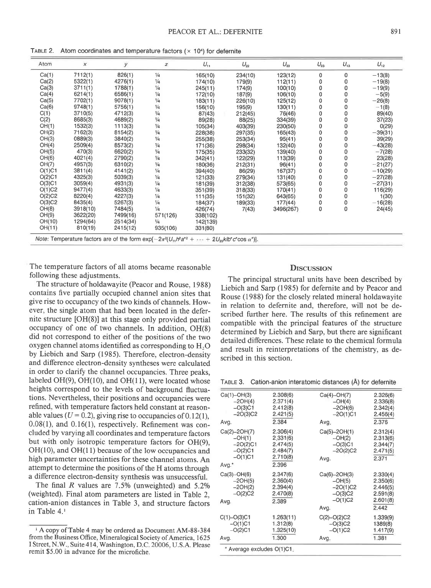TABLE 2. Atom coordinates and temperature factors ( $\times$  10<sup>4</sup>) for defernite

| Atom                                                                                                             | $\boldsymbol{x}$ | ÿ        | z             | $U_{11}$ | $U_{22}$ | $U_{33}$  | $U_{23}$    | $U_{13}$     | $U_{12}$  |
|------------------------------------------------------------------------------------------------------------------|------------------|----------|---------------|----------|----------|-----------|-------------|--------------|-----------|
| Ca(1)                                                                                                            | 7112(1)          | 826(1)   | $\frac{1}{4}$ | 165(10)  | 234(10)  | 123(12)   | $\mathbf 0$ | $\Omega$     | $-13(8)$  |
| Ca(2)                                                                                                            | 5322(1)          | 4276(1)  | $\frac{1}{4}$ | 174(10)  | 179(9)   | 112(11)   | 0           | 0            | $-19(8)$  |
| Ca(3)                                                                                                            | 3711(1)          | 1788(1)  | $\frac{1}{4}$ | 245(11)  | 174(9)   | 100(10)   | $\Omega$    | $\Omega$     | $-19(9)$  |
| Ca(4)                                                                                                            | 6214(1)          | 6586(1)  | $\frac{1}{4}$ | 172(10)  | 187(9)   | 106(10)   | $\Omega$    | 0            | $-5(9)$   |
| Ca(5)                                                                                                            | 7702(1)          | 9078(1)  | $\frac{1}{4}$ | 183(11)  | 226(10)  | 125(12)   | 0           | $\Omega$     | $-26(8)$  |
| Ca(6)                                                                                                            | 9748(1)          | 5756(1)  | $\frac{1}{4}$ | 156(10)  | 195(9)   | 130(11)   | 0           | 0            | $-1(8)$   |
| C(1)                                                                                                             | 3710(5)          | 4712(3)  | $\frac{1}{4}$ | 87(43)   | 212(45)  | 76(46)    | 0           |              | 89(40)    |
| C(2)                                                                                                             | 8685(3)          | 4689(2)  | $\frac{1}{4}$ | 89(28)   | 88(25)   | 334(39)   | 0           | 0            | 37(23)    |
| OH(1)                                                                                                            | 1532(3)          | 1113(3)  | $\frac{1}{4}$ | 105(34)  | 403(39)  | 230(50)   |             |              | O(29)     |
| OH(2)                                                                                                            | 7162(3)          | 8154(2)  | $\frac{1}{4}$ | 228(38)  | 297(35)  | 165(43)   | 0           | n            | $-39(31)$ |
| OH(3)                                                                                                            | 0889(3)          | 3840(2)  | $\frac{1}{4}$ | 255(38)  | 253(34)  | 95(41)    | 0           | 0            | 39(29)    |
| OH(4)                                                                                                            | 2509(4)          | 8573(2)  | $\frac{1}{4}$ | 171(36)  | 298(34)  | 132(40)   | 0           | $\Omega$     | $-43(28)$ |
| OH(5)                                                                                                            | 470(3)           | 6620(2)  | $\frac{1}{4}$ | 175(35)  | 233(32)  | 139(40)   | Ω           | 0            | $-7(28)$  |
| OH(6)                                                                                                            | 4021(4)          | 2790(2)  | $\frac{1}{4}$ | 342(41)  | 122(29)  | 113(39)   | 0           | $\Omega$     | 23(28)    |
| OH(7)                                                                                                            | 4957(3)          | 6310(2)  | $\frac{1}{4}$ | 180(36)  | 212(31)  | 96(41)    | ٥           | 0            | $-21(27)$ |
| O(1)C1                                                                                                           | 3811(4)          | 4141(2)  | $\frac{1}{4}$ | 394(40)  | 86(29)   | 167(37)   | 0           | 0            | $-10(29)$ |
| O(2)C1                                                                                                           | 4325(3)          | 5039(3)  | $\frac{1}{4}$ | 121(33)  | 279(34)  | 131(40)   | 0           | 0            | $-27(28)$ |
| O(3)C1                                                                                                           | 3059(4)          | 4931(3)  | $\frac{1}{4}$ | 181(39)  | 312(38)  | 573(65)   | 0           | $\Omega$     | $-27(31)$ |
| O(1)C2                                                                                                           | 9477(4)          | 4633(3)  | $\frac{1}{4}$ | 351(39)  | 318(33)  | 170(41)   | 0           | 0            | 116(29)   |
| O(2)C2                                                                                                           | 8220(4)          | 4227(3)  | $\frac{1}{4}$ | 111(35)  | 151(32)  | 643(65)   | 0           | $\mathbf{0}$ | 1(30)     |
| O(3)C2                                                                                                           | 8435(4)          | 5267(3)  | $\frac{1}{4}$ | 184(37)  | 189(33)  | 177(44)   | 0           | 0            | $-16(28)$ |
| OH(8)                                                                                                            | 3918(10)         | 7484(5)  | $\frac{1}{4}$ | 426(74)  | 7(43)    | 3496(267) | 0           | $\Omega$     | 24(45)    |
| OH(9)                                                                                                            | 3622(20)         | 7499(16) | 571(126)      | 338(102) |          |           |             |              |           |
| OH(10)                                                                                                           | 1294(64)         | 2514(34) | $\frac{1}{4}$ | 142(139) |          |           |             |              |           |
| OH(11)                                                                                                           | 810(19)          | 2415(12) | 935(106)      | 331(80)  |          |           |             |              |           |
| Note: Temperature factors are of the form $exp[-2\pi^2(U_{11}h^2a^{*2} + \cdots + 2U_{23}k/b^*c^*cos\alpha^*)].$ |                  |          |               |          |          |           |             |              |           |

The temperature factors of all atoms became reasonable following these adjustments.

The structure of holdawayite (Peacor and Rouse, 1988) contains five partially occupied channel anion sites that give rise to occupancy of the two kinds of channels. However, the single atom that had been located in the defernite structure [OH(8)] at this stage only provided partial occupancy of one of two channels. In addition, OH(8) did not correspond to either of the positions of the two oxygen channel atoms identified as corresponding to H<sub>2</sub>O by Liebich and Sarp (1985). Therefore, electron-density and difference electron-density syntheses were calculated in order to clarify the channel occupancies. Three peaks, labeled  $OH(9)$ ,  $OH(10)$ , and  $OH(11)$ , were located whose heights correspond to the levels of background fluctuations. Nevertheless, their positions and occupancies were refined, with temperature factors held constant at reasonable values ( $U = 0.2$ ), giving rise to occupancies of 0.12(1),  $0.08(1)$ , and  $0.16(1)$ , respectively. Refinement was concluded by varying all coordinates and temperature factors but with only isotropic temperature factors for OH(9),  $OH(10)$ , and  $OH(11)$  because of the low occupancies and high parameter uncertainties for these channel atoms. An attempt to determine the positions of the H atoms through a difference electron-density synthesis was unsuccessful.

The final  $R$  values are 7.5% (unweighted) and 5.2% (weighted). Final atom parameters are listed in Table 2. cation-anion distances in Table 3, and structure factors in Table 4.1

## **DISCUSSION**

The principal structural units have been described by Liebich and Sarp (1985) for defernite and by Peacor and Rouse (1988) for the closely related mineral holdawayite in relation to defernite and, therefore, will not be described further here. The results of this refinement are compatible with the principal features of the structure determined by Liebich and Sarp, but there are significant detailed differences. These relate to the chemical formula and result in reinterpretations of the chemistry, as described in this section.

TABLE 3. Cation-anion interatomic distances (Å) for defernite

| Ca(1)-OH(3)<br>$-2OH(4)$<br>$-O(3)C1$<br>$-2O(3)C2$<br>Avg.               | 2.308(6)<br>2.371(4)<br>2.412(8)<br>2.421(5)<br>2.384             | Ca(4)-OH(7)<br>$-OH(4)$<br>$-2OH(6)$<br>$-2O(1)C1$<br>Avg.               | 2.326(6)<br>2.336(8)<br>2.342(4)<br>2.456(4)<br>2.376             |  |  |  |
|---------------------------------------------------------------------------|-------------------------------------------------------------------|--------------------------------------------------------------------------|-------------------------------------------------------------------|--|--|--|
| Ca(2)-2OH(7)<br>$-OH(1)$<br>$-2O(2)C1$<br>$-O(2)C1$<br>$-O(1)C1$<br>Avg." | 2.306(4)<br>2.331(6)<br>2.474(5)<br>2.484(7)<br>2.710(8)<br>2.396 | Ca(5)-2OH(1)<br>$-OH(2)$<br>$-O(3)C1$<br>$-2O(2)C2$<br>Avg.              | 2.312(4)<br>2.313(6)<br>2,344(7)<br>2.471(5)<br>2.371             |  |  |  |
| $Ca(3)$ -OH $(6)$<br>$-2OH(5)$<br>$-2OH(2)$<br>$-O(2)C2$<br>Avg.          | 2.347(6)<br>2.360(4)<br>2.394(4)<br>2.470(8)<br>2.389             | Ca(6)–2OH(3)<br>$-OH(5)$<br>$-2O(1)C2$<br>$-O(3)C2$<br>$-O(1)C2$<br>Avg. | 2.330(4)<br>2.350(6)<br>2.446(5)<br>2.591(8)<br>2.601(8)<br>2.442 |  |  |  |
| $C(1) - O(3)C1$<br>$-O(1)C1$<br>$-O(2)C1$<br>Avg.                         | 1.263(11)<br>1.312(8)<br>1.325(10)<br>1.300                       | $C(2) - O(2) C2$<br>$-O(3)C2$<br>$-O(1)C2$<br>Avg.                       | 1.339(9)<br>1389(8)<br>1.417(9)<br>1.381                          |  |  |  |
| * Average excludes O(1)C1.                                                |                                                                   |                                                                          |                                                                   |  |  |  |

<sup>&</sup>lt;sup>1</sup> A copy of Table 4 may be ordered as Document AM-88-384 from the Business Office, Mineralogical Society of America, 1625 I Street, N.W., Suite 414, Washington, D.C. 20006, U.S.A. Please remit \$5.00 in advance for the microfiche.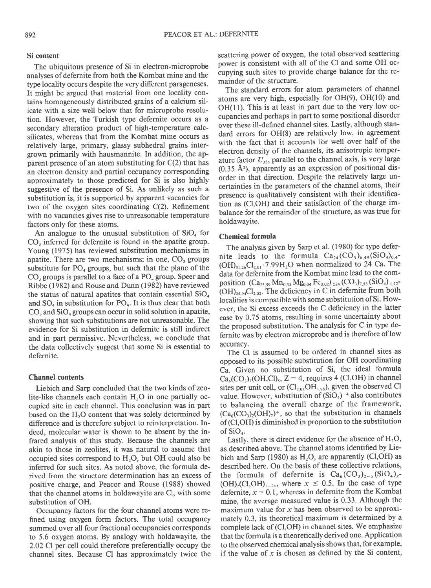## Si content

The ubiquitous presence of Si in electron-microprobe analyses of defernite from both the Kombat mine and the type locality occurs despite the very different parageneses. It might be argued that material from one locality contains homogeneously distributed grains of a calcium silicate with a size well below that for microprobe resolution. However, the Turkish type defernite occurs as a secondary alteration product of high-temperature calcsilicates, whereas that from the Kombat mine occurs as relatively large, primary, glassy subhedral grains intergrown primarily with hausmannite. In addition, the apparent presence of an atom substituting for  $C(2)$  that has an electron density and partial occupancy corresponding approximately to those predicted for Si is also highly suggestive of the presence of Si. As unlikely as such a substitution is, it is supported by apparent vacancies for two of the oxygen sites coordinating C(2). Refinement with no vacancies gives rise to unreasonable temperature factors only for these atoms.

An analogue to the unusual substitution of  $SiO<sub>4</sub>$  for CO, inferred for defernite is found in the apatite group. Young (1975) has reviewed substitution mechanisms in apatite. There are two mechanisms; in one, CO, groups substitute for  $PO_4$  groups, but such that the plane of the  $CO<sub>3</sub>$  groups is parallel to a face of a  $PO<sub>4</sub>$  group. Speer and Ribbe (1982) and Rouse and Dunn (1982) have reviewed the status of natural apatites that contain essential  $SiO<sub>4</sub>$ and  $SO_4$  in substitution for  $PO_4$ . It is thus clear that both  $CO<sub>3</sub>$  and  $SiO<sub>4</sub>$  groups can occur in solid solution in apatite, showing that such substitutions are not unreasonable. The evidence for Si substitution in defernite is still indirect and in part permissive. Nevertheless, we conclude that the data collectively suggest that some Si is essential to defernite.

#### Channel contents

Liebich and Sarp concluded that the two kinds of zeolite-like channels each contain  $H<sub>2</sub>O$  in one partially occupied site in each channel. This conclusion was in part based on the  $H<sub>2</sub>O$  content that was solely determined by difference and is therefore subject to reinterpretation. Indeed, molecular water is shown to be absent by the infrared analysis of this study. Because the channels are akin to those in zeolites, it was natural to assume that occupied sites correspond to  $H_2O$ , but OH could also be inferred for such sites. As noted above, the formula derived from the structure determination has an excess of positive charge, and Peacor and Rouse (1988) showed that the channel atoms in holdawayite are Cl, with some substitution of OH.

Occupancy factors for the four channel atoms were refined using oxygen form factors. The total occupancy summed over all four fractional occupancies corresponds to 5.6 oxygen atoms. By analogy with holdawayite, the 2.02 Cl per cell could therefore preferentially occupy the channel sites. Because Cl has approximately twice the scattering power of oxygen, the total observed scattering power is consistent with all of the Cl and some OH occupying such sites to provide charge balance for the remainder of the structure.

The standard errors for atom parameters of channel atoms are very high, especially for OH(9), OH(10) and  $OH(11)$ . This is at least in part due to the very low occupancies and perhaps in part to some positional disorder over these ill-defined channel sites. Lastly, although standard errors for OH(8) are relatively low, in agreement with the fact that it accounts for well over half of the electron density of the channels, its anisotropic temperature factor  $U_{33}$ , parallel to the channel axis, is very large (0.35  $\AA$ <sup>2</sup>), apparently as an expression of positional disorder in that direction. Despite the relatively large uncertainties in the parameters of the channel atoms, their presence is qualitatively consistent with their identification as (CI,OH) and their satisfaction of the charge imbalance for the remainder of the structure, as was true for holdawayite.

### Chemical formula

The analysis given by Sarp et al. (1980) for type defernite leads to the formula  $Ca_{24}(CO_3)_{6,49}(SiO_4)_{0,4}$ - $(OH)_{31,26}Cl_{2,01}$  7.99H<sub>2</sub>O when normalized to 24 Ca. The data for defernite from the Kombat mine lead to the composition  $(Ca_{23.59} Mn_{0.35} Mg_{0.04} Fe_{0.02})_{\Sigma 24} (CO_3)_{7.53} (SiO_4)_{1.22}$ - $(OH)_{25.94}Cl_{2.02}$ . The deficiency in C in defermite from both Iocalities is compatible with some substitution of Si. However, the Si excess exceeds the C deficiency in the latter case by 0.75 atoms, resulting in some uncertainty about the proposed substitution. The analysis for C in type defernite was by electron microprobe and is therefore of low accuracy.

The Cl is assumed to be ordered in channel sites as opposed to its possible substitution for OH coordinating Ca. Given no substitution of Si, the ideal formula  $Ca_6(CO_3)_2(OH, Cl)_8$ , Z = 4, requires 4 (Cl,OH) in channel sites per unit cell, or  $(Cl_{2,02}OH_{1,98})$ , given the observed Cl value. However, substitution of  $(SiO<sub>4</sub>)<sup>-4</sup>$  also contributes to balancing the overall charge of the framework,  $(Ca_6(CO_3)_2(OH)_7)^+$ , so that the substitution in channels of (CI,OH) is diminished in proportion to the substitution of  $SiO<sub>4</sub>$ .

Lastly, there is direct evidence for the absence of  $H_2O$ , as described above. The channel atoms identified by Liebich and Sarp (1980) as  $H_2O$ , are apparently (Cl,OH) as described here. On the basis of these collective relations, the formula of defernite is  $Ca_6(CO_3)_{2-x}(SiO_4)_x$ - $(OH)_{7}(Cl, OH)_{1-2x}$ , where  $x \le 0.5$ . In the case of type defernite,  $x = 0.1$ , whereas in defernite from the Kombat mine, the average measured value is 0.33. Although the maximum value for  $x$  has been observed to be approximately 0.3, its theoretical maximum is determined by a complete lack of (CI,OH) in channel sites. We emphasize that the formula is a theoretically derived one. Application to the observed chemical analysis shows that, for example, if the value of  $x$  is chosen as defined by the Si content,